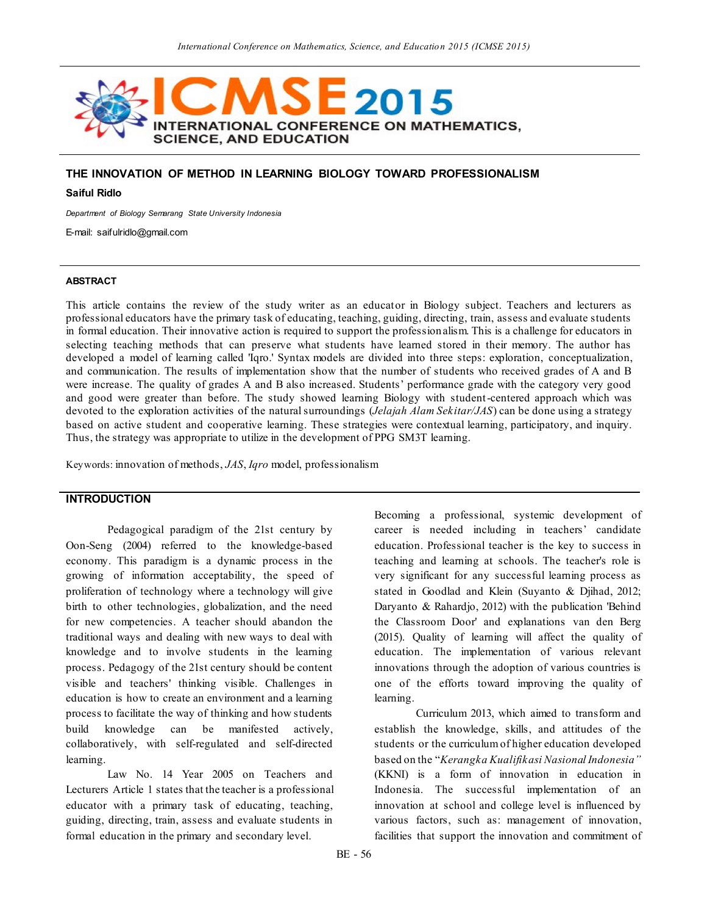

### **THE INNOVATION OF METHOD IN LEARNING BIOLOGY TOWARD PROFESSIONALISM**

#### **Saiful Ridlo**

*Department of Biology Semarang State University Indonesia*

E-mail: saifulridlo@gmail.com

#### **ABSTRACT**

This article contains the review of the study writer as an educator in Biology subject. Teachers and lecturers as professional educators have the primary task of educating, teaching, guiding, directing, train, assess and evaluate students in formal education. Their innovative action is required to support the profession alism. This is a challenge for educators in selecting teaching methods that can preserve what students have learned stored in their memory. The author has developed a model of learning called 'Iqro.' Syntax models are divided into three steps: exploration, conceptualization, and communication. The results of implementation show that the number of students who received grades of A and B were increase. The quality of grades A and B also increased. Students' performance grade with the category very good and good were greater than before. The study showed learning Biology with student-centered approach which was devoted to the exploration activities of the natural surroundings (*Jelajah Alam Sekitar/JAS*) can be done using a strategy based on active student and cooperative learning. These strategies were contextual learning, participatory, and inquiry. Thus, the strategy was appropriate to utilize in the development of PPG SM3T learning.

Keywords: innovation of methods, *JAS*, *Iqro* model, professionalism

### **INTRODUCTION**

Pedagogical paradigm of the 21st century by Oon-Seng (2004) referred to the knowledge-based economy. This paradigm is a dynamic process in the growing of information acceptability, the speed of proliferation of technology where a technology will give birth to other technologies, globalization, and the need for new competencies. A teacher should abandon the traditional ways and dealing with new ways to deal with knowledge and to involve students in the learning process. Pedagogy of the 21st century should be content visible and teachers' thinking visible. Challenges in education is how to create an environment and a learning process to facilitate the way of thinking and how students build knowledge can be manifested actively, collaboratively, with self-regulated and self-directed learning.

Law No. 14 Year 2005 on Teachers and Lecturers Article 1 states that the teacher is a professional educator with a primary task of educating, teaching, guiding, directing, train, assess and evaluate students in formal education in the primary and secondary level.

Becoming a professional, systemic development of career is needed including in teachers' candidate education. Professional teacher is the key to success in teaching and learning at schools. The teacher's role is very significant for any successful learning process as stated in Goodlad and Klein (Suyanto & Djihad, 2012; Daryanto & Rahardjo, 2012) with the publication 'Behind the Classroom Door' and explanations van den Berg (2015). Quality of learning will affect the quality of education. The implementation of various relevant innovations through the adoption of various countries is one of the efforts toward improving the quality of learning.

Curriculum 2013, which aimed to transform and establish the knowledge, skills, and attitudes of the students or the curriculum of higher education developed based on the "*Kerangka Kualifikasi Nasional Indonesia"* (KKNI) is a form of innovation in education in Indonesia. The successful implementation of an innovation at school and college level is influenced by various factors, such as: management of innovation, facilities that support the innovation and commitment of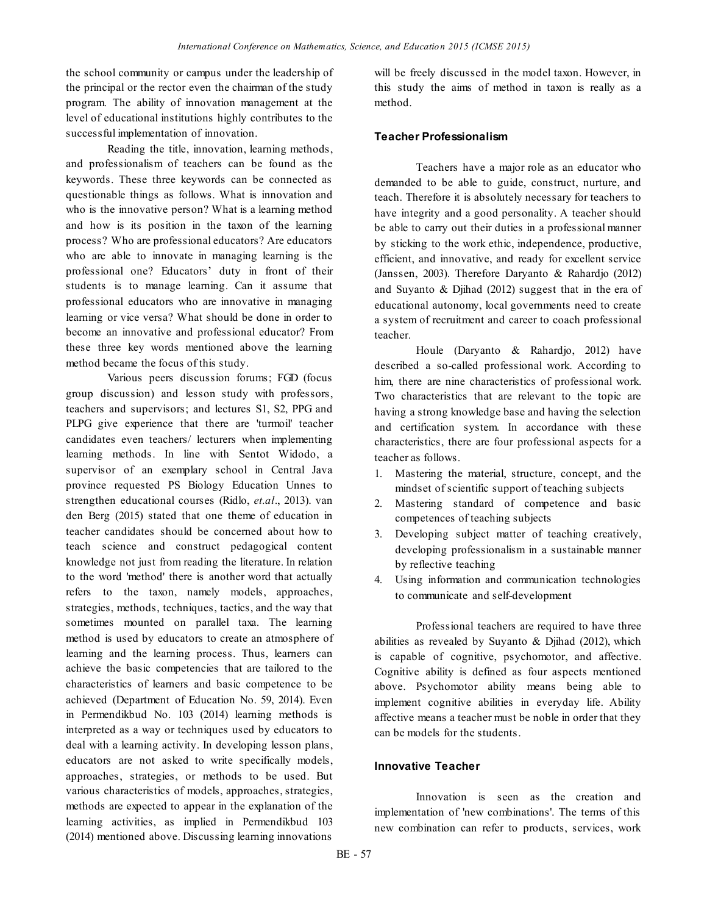the school community or campus under the leadership of the principal or the rector even the chairman of the study program. The ability of innovation management at the level of educational institutions highly contributes to the successful implementation of innovation.

Reading the title, innovation, learning methods, and professionalism of teachers can be found as the keywords. These three keywords can be connected as questionable things as follows. What is innovation and who is the innovative person? What is a learning method and how is its position in the taxon of the learning process? Who are professional educators? Are educators who are able to innovate in managing learning is the professional one? Educators' duty in front of their students is to manage learning. Can it assume that professional educators who are innovative in managing learning or vice versa? What should be done in order to become an innovative and professional educator? From these three key words mentioned above the learning method became the focus of this study.

Various peers discussion forums; FGD (focus group discussion) and lesson study with professors, teachers and supervisors; and lectures S1, S2, PPG and PLPG give experience that there are 'turmoil' teacher candidates even teachers/ lecturers when implementing learning methods. In line with Sentot Widodo, a supervisor of an exemplary school in Central Java province requested PS Biology Education Unnes to strengthen educational courses (Ridlo, *et.al*., 2013). van den Berg (2015) stated that one theme of education in teacher candidates should be concerned about how to teach science and construct pedagogical content knowledge not just from reading the literature. In relation to the word 'method' there is another word that actually refers to the taxon, namely models, approaches, strategies, methods, techniques, tactics, and the way that sometimes mounted on parallel taxa. The learning method is used by educators to create an atmosphere of learning and the learning process. Thus, learners can achieve the basic competencies that are tailored to the characteristics of learners and basic competence to be achieved (Department of Education No. 59, 2014). Even in Permendikbud No. 103 (2014) learning methods is interpreted as a way or techniques used by educators to deal with a learning activity. In developing lesson plans, educators are not asked to write specifically models, approaches, strategies, or methods to be used. But various characteristics of models, approaches, strategies, methods are expected to appear in the explanation of the learning activities, as implied in Permendikbud 103 (2014) mentioned above. Discussing learning innovations

will be freely discussed in the model taxon. However, in this study the aims of method in taxon is really as a method.

### **Teacher Professionalism**

Teachers have a major role as an educator who demanded to be able to guide, construct, nurture, and teach. Therefore it is absolutely necessary for teachers to have integrity and a good personality. A teacher should be able to carry out their duties in a professional manner by sticking to the work ethic, independence, productive, efficient, and innovative, and ready for excellent service (Janssen, 2003). Therefore Daryanto & Rahardjo (2012) and Suyanto & Djihad (2012) suggest that in the era of educational autonomy, local governments need to create a system of recruitment and career to coach professional teacher.

Houle (Daryanto & Rahardjo, 2012) have described a so-called professional work. According to him, there are nine characteristics of professional work. Two characteristics that are relevant to the topic are having a strong knowledge base and having the selection and certification system. In accordance with these characteristics, there are four professional aspects for a teacher as follows.

- 1. Mastering the material, structure, concept, and the mindset of scientific support of teaching subjects
- 2. Mastering standard of competence and basic competences of teaching subjects
- 3. Developing subject matter of teaching creatively, developing professionalism in a sustainable manner by reflective teaching
- 4. Using information and communication technologies to communicate and self-development

Professional teachers are required to have three abilities as revealed by Suyanto & Djihad (2012), which is capable of cognitive, psychomotor, and affective. Cognitive ability is defined as four aspects mentioned above. Psychomotor ability means being able to implement cognitive abilities in everyday life. Ability affective means a teacher must be noble in order that they can be models for the students.

#### **Innovative Teacher**

Innovation is seen as the creation and implementation of 'new combinations'. The terms of this new combination can refer to products, services, work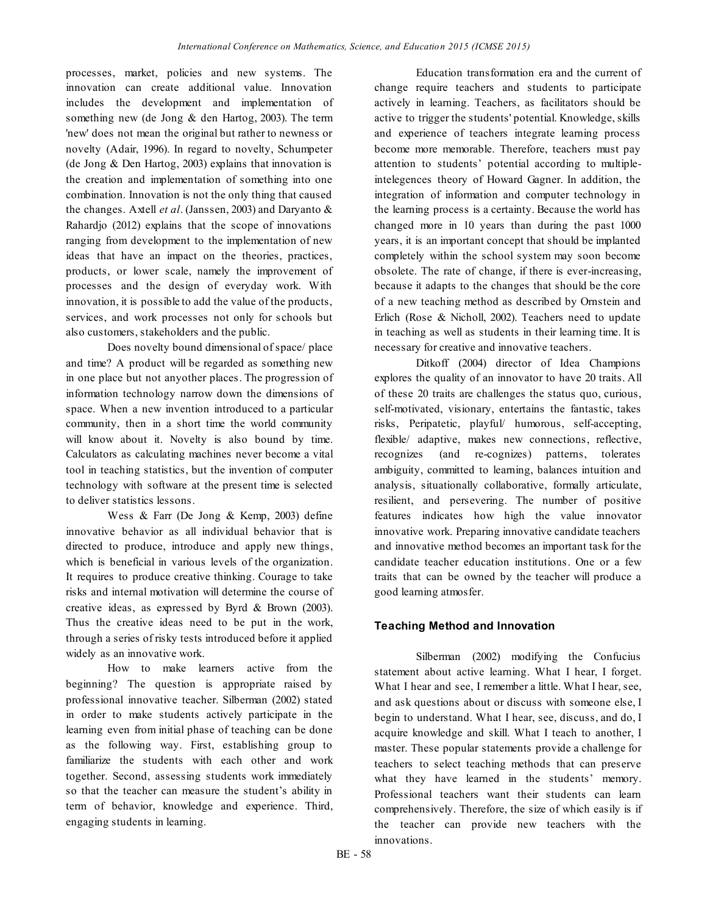processes, market, policies and new systems. The innovation can create additional value. Innovation includes the development and implementation of something new (de Jong & den Hartog, 2003). The term 'new' does not mean the original but rather to newness or novelty (Adair, 1996). In regard to novelty, Schumpeter (de Jong & Den Hartog, 2003) explains that innovation is the creation and implementation of something into one combination. Innovation is not the only thing that caused the changes. Axtell *et al*. (Janssen, 2003) and Daryanto & Rahardjo (2012) explains that the scope of innovations ranging from development to the implementation of new ideas that have an impact on the theories, practices, products, or lower scale, namely the improvement of processes and the design of everyday work. With innovation, it is possible to add the value of the products, services, and work processes not only for schools but also customers, stakeholders and the public.

Does novelty bound dimensional of space/ place and time? A product will be regarded as something new in one place but not anyother places. The progression of information technology narrow down the dimensions of space. When a new invention introduced to a particular community, then in a short time the world community will know about it. Novelty is also bound by time. Calculators as calculating machines never become a vital tool in teaching statistics, but the invention of computer technology with software at the present time is selected to deliver statistics lessons.

Wess & Farr (De Jong & Kemp, 2003) define innovative behavior as all individual behavior that is directed to produce, introduce and apply new things, which is beneficial in various levels of the organization. It requires to produce creative thinking. Courage to take risks and internal motivation will determine the course of creative ideas, as expressed by Byrd & Brown (2003). Thus the creative ideas need to be put in the work, through a series of risky tests introduced before it applied widely as an innovative work.

How to make learners active from the beginning? The question is appropriate raised by professional innovative teacher. Silberman (2002) stated in order to make students actively participate in the learning even from initial phase of teaching can be done as the following way. First, establishing group to familiarize the students with each other and work together. Second, assessing students work immediately so that the teacher can measure the student's ability in term of behavior, knowledge and experience. Third, engaging students in learning.

Education transformation era and the current of change require teachers and students to participate actively in learning. Teachers, as facilitators should be active to trigger the students' potential. Knowledge, skills and experience of teachers integrate learning process become more memorable. Therefore, teachers must pay attention to students' potential according to multipleintelegences theory of Howard Gagner. In addition, the integration of information and computer technology in the learning process is a certainty. Because the world has changed more in 10 years than during the past 1000 years, it is an important concept that should be implanted completely within the school system may soon become obsolete. The rate of change, if there is ever-increasing, because it adapts to the changes that should be the core of a new teaching method as described by Ornstein and Erlich (Rose & Nicholl, 2002). Teachers need to update in teaching as well as students in their learning time. It is necessary for creative and innovative teachers.

Ditkoff (2004) director of Idea Champions explores the quality of an innovator to have 20 traits. All of these 20 traits are challenges the status quo, curious, self-motivated, visionary, entertains the fantastic, takes risks, Peripatetic, playful/ humorous, self-accepting, flexible/ adaptive, makes new connections, reflective, recognizes (and re-cognizes) patterns, tolerates ambiguity, committed to learning, balances intuition and analysis, situationally collaborative, formally articulate, resilient, and persevering. The number of positive features indicates how high the value innovator innovative work. Preparing innovative candidate teachers and innovative method becomes an important task for the candidate teacher education institutions. One or a few traits that can be owned by the teacher will produce a good learning atmosfer.

# **Teaching Method and Innovation**

Silberman (2002) modifying the Confucius statement about active learning. What I hear, I forget. What I hear and see, I remember a little. What I hear, see, and ask questions about or discuss with someone else, I begin to understand. What I hear, see, discuss, and do, I acquire knowledge and skill. What I teach to another, I master. These popular statements provide a challenge for teachers to select teaching methods that can preserve what they have learned in the students' memory. Professional teachers want their students can learn comprehensively. Therefore, the size of which easily is if the teacher can provide new teachers with the innovations.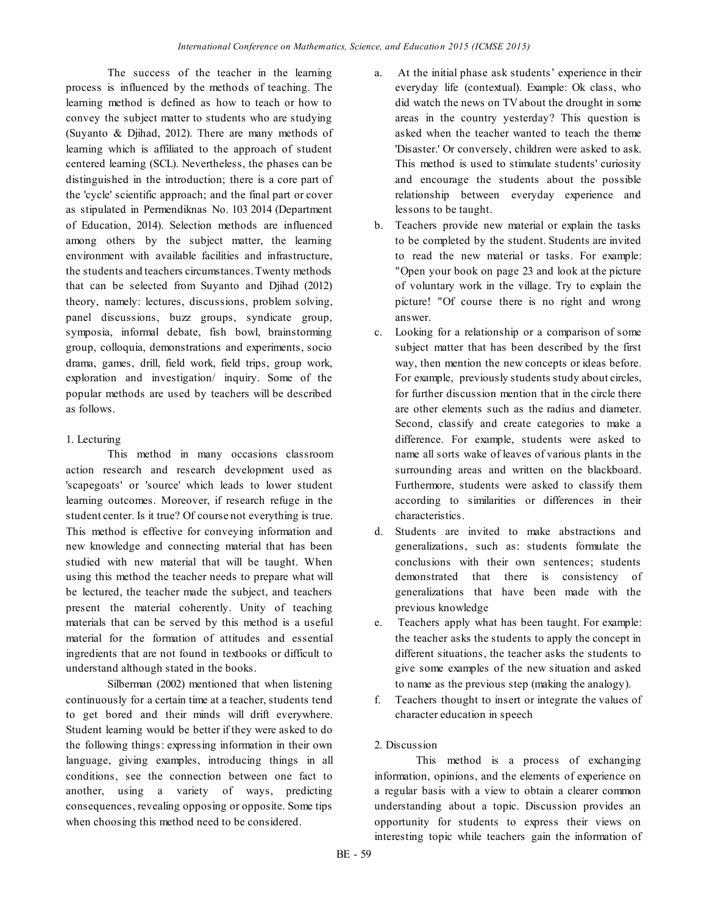The success of the teacher in the learning process is influenced by the methods of teaching. The learning method is defined as how to teach or how to convey the subject matter to students who are studying (Suyanto & Djihad, 2012). There are many methods of learning which is affiliated to the approach of student centered learning (SCL). Nevertheless, the phases can be distinguished in the introduction; there is a core part of the 'cycle' scientific approach; and the final part or cover as stipulated in Permendiknas No. 103 2014 (Department of Education, 2014). Selection methods are influenced among others by the subject matter, the learning environment with available facilities and infrastructure, the students and teachers circumstances. Twenty methods that can be selected from Suyanto and Djihad (2012) theory, namely: lectures, discussions, problem solving, panel discussions, buzz groups, syndicate group, symposia, informal debate, fish bowl, brainstorming group, colloquia, demonstrations and experiments, socio drama, games, drill, field work, field trips, group work, exploration and investigation/ inquiry. Some of the popular methods are used by teachers will be described as follows.

# 1. Lecturing

This method in many occasions classroom action research and research development used as 'scapegoats' or 'source' which leads to lower student learning outcomes. Moreover, if research refuge in the student center. Is it true? Of course not everything is true. This method is effective for conveying information and new knowledge and connecting material that has been studied with new material that will be taught. When using this method the teacher needs to prepare what will be lectured, the teacher made the subject, and teachers present the material coherently. Unity of teaching materials that can be served by this method is a useful material for the formation of attitudes and essential ingredients that are not found in textbooks or difficult to understand although stated in the books.

Silberman (2002) mentioned that when listening continuously for a certain time at a teacher, students tend to get bored and their minds will drift everywhere. Student learning would be better if they were asked to do the following things: expressing information in their own language, giving examples, introducing things in all conditions, see the connection between one fact to another, using a variety of ways, predicting consequences, revealing opposing or opposite. Some tips when choosing this method need to be considered.

- a. At the initial phase ask students' experience in their everyday life (contextual). Example: Ok class, who did watch the news on TVabout the drought in some areas in the country yesterday? This question is asked when the teacher wanted to teach the theme 'Disaster.' Or conversely, children were asked to ask. This method is used to stimulate students' curiosity and encourage the students about the possible relationship between everyday experience and lessons to be taught.
- b. Teachers provide new material or explain the tasks to be completed by the student. Students are invited to read the new material or tasks. For example: "Open your book on page 23 and look at the picture of voluntary work in the village. Try to explain the picture! "Of course there is no right and wrong answer.
- c. Looking for a relationship or a comparison of some subject matter that has been described by the first way, then mention the new concepts or ideas before. For example, previously students study about circles, for further discussion mention that in the circle there are other elements such as the radius and diameter. Second, classify and create categories to make a difference. For example, students were asked to name all sorts wake of leaves of various plants in the surrounding areas and written on the blackboard. Furthermore, students were asked to classify them according to similarities or differences in their characteristics.
- d. Students are invited to make abstractions and generalizations, such as: students formulate the conclusions with their own sentences; students demonstrated that there is consistency of generalizations that have been made with the previous knowledge
- e. Teachers apply what has been taught. For example: the teacher asks the students to apply the concept in different situations, the teacher asks the students to give some examples of the new situation and asked to name as the previous step (making the analogy).
- f. Teachers thought to insert or integrate the values of character education in speech

# 2. Discussion

This method is a process of exchanging information, opinions, and the elements of experience on a regular basis with a view to obtain a clearer common understanding about a topic. Discussion provides an opportunity for students to express their views on interesting topic while teachers gain the information of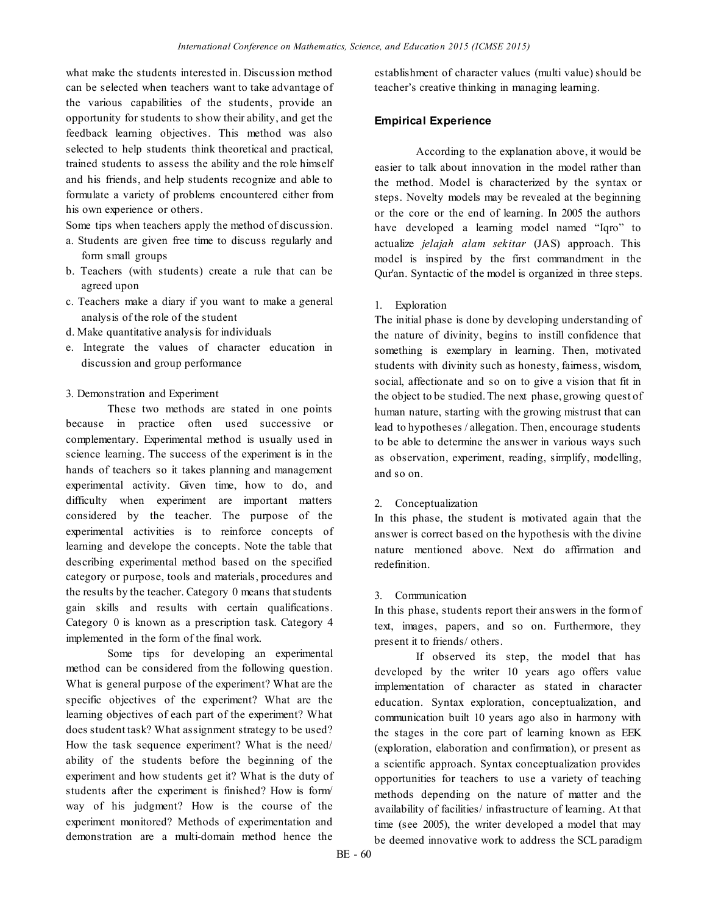what make the students interested in. Discussion method can be selected when teachers want to take advantage of the various capabilities of the students, provide an opportunity for students to show their ability, and get the feedback learning objectives. This method was also selected to help students think theoretical and practical, trained students to assess the ability and the role himself and his friends, and help students recognize and able to formulate a variety of problems encountered either from his own experience or others.

Some tips when teachers apply the method of discussion.

- a. Students are given free time to discuss regularly and form small groups
- b. Teachers (with students) create a rule that can be agreed upon
- c. Teachers make a diary if you want to make a general analysis of the role of the student
- d. Make quantitative analysis for individuals
- e. Integrate the values of character education in discussion and group performance

### 3. Demonstration and Experiment

These two methods are stated in one points because in practice often used successive or complementary. Experimental method is usually used in science learning. The success of the experiment is in the hands of teachers so it takes planning and management experimental activity. Given time, how to do, and difficulty when experiment are important matters considered by the teacher. The purpose of the experimental activities is to reinforce concepts of learning and develope the concepts. Note the table that describing experimental method based on the specified category or purpose, tools and materials, procedures and the results by the teacher. Category 0 means that students gain skills and results with certain qualifications. Category 0 is known as a prescription task. Category 4 implemented in the form of the final work.

Some tips for developing an experimental method can be considered from the following question. What is general purpose of the experiment? What are the specific objectives of the experiment? What are the learning objectives of each part of the experiment? What does student task? What assignment strategy to be used? How the task sequence experiment? What is the need/ ability of the students before the beginning of the experiment and how students get it? What is the duty of students after the experiment is finished? How is form/ way of his judgment? How is the course of the experiment monitored? Methods of experimentation and demonstration are a multi-domain method hence the

establishment of character values (multi value) should be teacher's creative thinking in managing learning.

### **Empirical Experience**

According to the explanation above, it would be easier to talk about innovation in the model rather than the method. Model is characterized by the syntax or steps. Novelty models may be revealed at the beginning or the core or the end of learning. In 2005 the authors have developed a learning model named "Iqro" to actualize *jelajah alam sekitar* (JAS) approach. This model is inspired by the first commandment in the Qur'an. Syntactic of the model is organized in three steps.

### 1. Exploration

The initial phase is done by developing understanding of the nature of divinity, begins to instill confidence that something is exemplary in learning. Then, motivated students with divinity such as honesty, fairness, wisdom, social, affectionate and so on to give a vision that fit in the object to be studied.The next phase, growing quest of human nature, starting with the growing mistrust that can lead to hypotheses / allegation. Then, encourage students to be able to determine the answer in various ways such as observation, experiment, reading, simplify, modelling, and so on.

### 2. Conceptualization

In this phase, the student is motivated again that the answer is correct based on the hypothesis with the divine nature mentioned above. Next do affirmation and redefinition.

#### 3. Communication

In this phase, students report their answers in the formof text, images, papers, and so on. Furthermore, they present it to friends/ others.

If observed its step, the model that has developed by the writer 10 years ago offers value implementation of character as stated in character education. Syntax exploration, conceptualization, and communication built 10 years ago also in harmony with the stages in the core part of learning known as EEK (exploration, elaboration and confirmation), or present as a scientific approach. Syntax conceptualization provides opportunities for teachers to use a variety of teaching methods depending on the nature of matter and the availability of facilities/ infrastructure of learning. At that time (see 2005), the writer developed a model that may be deemed innovative work to address the SCL paradigm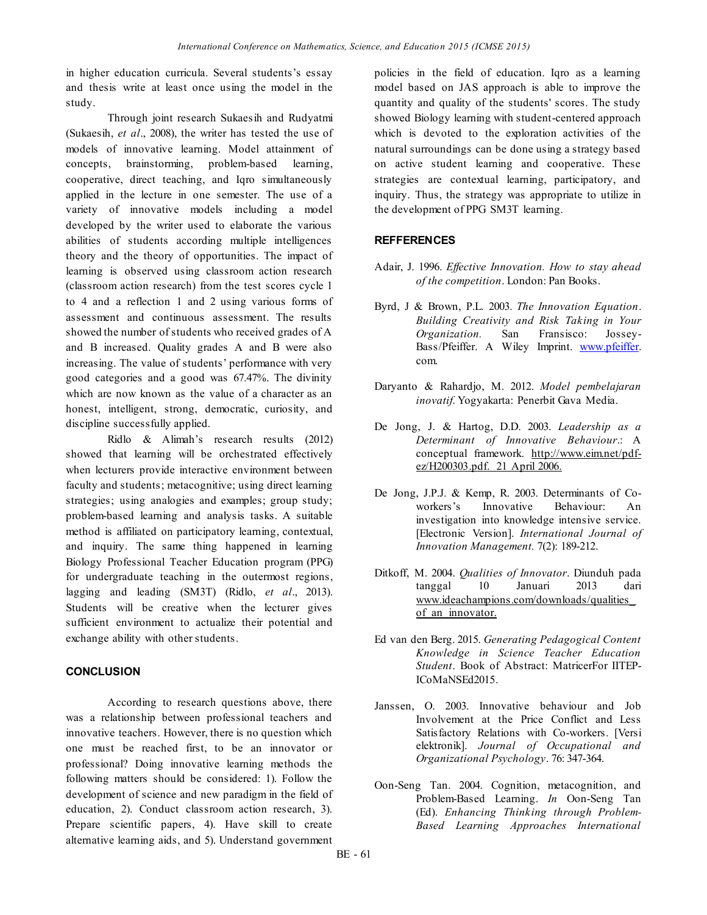in higher education curricula. Several students's essay and thesis write at least once using the model in the study.

Through joint research Sukaesih and Rudyatmi (Sukaesih, *et al*., 2008), the writer has tested the use of models of innovative learning. Model attainment of concepts, brainstorming, problem-based learning, cooperative, direct teaching, and Iqro simultaneously applied in the lecture in one semester. The use of a variety of innovative models including a model developed by the writer used to elaborate the various abilities of students according multiple intelligences theory and the theory of opportunities. The impact of learning is observed using classroom action research (classroom action research) from the test scores cycle 1 to 4 and a reflection 1 and 2 using various forms of assessment and continuous assessment. The results showed the number of students who received grades of A and B increased. Quality grades A and B were also increasing. The value of students' performance with very good categories and a good was 67.47%. The divinity which are now known as the value of a character as an honest, intelligent, strong, democratic, curiosity, and discipline successfully applied.

Ridlo & Alimah's research results (2012) showed that learning will be orchestrated effectively when lecturers provide interactive environment between faculty and students; metacognitive; using direct learning strategies; using analogies and examples; group study; problem-based learning and analysis tasks. A suitable method is affiliated on participatory learning, contextual, and inquiry. The same thing happened in learning Biology Professional Teacher Education program (PPG) for undergraduate teaching in the outermost regions, lagging and leading (SM3T) (Ridlo, *et al*., 2013). Students will be creative when the lecturer gives sufficient environment to actualize their potential and exchange ability with other students.

### **CONCLUSION**

According to research questions above, there was a relationship between professional teachers and innovative teachers. However, there is no question which one must be reached first, to be an innovator or professional? Doing innovative learning methods the following matters should be considered: 1). Follow the development of science and new paradigm in the field of education, 2). Conduct classroom action research, 3). Prepare scientific papers, 4). Have skill to create alternative learning aids, and 5). Understand government policies in the field of education. Iqro as a learning model based on JAS approach is able to improve the quantity and quality of the students' scores. The study showed Biology learning with student-centered approach which is devoted to the exploration activities of the natural surroundings can be done using a strategy based on active student learning and cooperative. These strategies are contextual learning, participatory, and inquiry. Thus, the strategy was appropriate to utilize in the development of PPG SM3T learning.

## **REFFERENCES**

- Adair, J. 1996. *Effective Innovation. How to stay ahead of the competition*. London: Pan Books.
- Byrd, J & Brown, P.L. 2003. *The Innovation Equation*. *Building Creativity and Risk Taking in Your Organization.* San Fransisco: Jossey-Bass/Pfeiffer. A Wiley Imprint[. www.pfeiffer.](http://www.pfeiffer/) com.
- Daryanto & Rahardjo, M. 2012. *Model pembelajaran inovatif*. Yogyakarta: Penerbit Gava Media.
- De Jong, J. & Hartog, D.D. 2003. *Leadership as a Determinant of Innovative Behaviour*.: A conceptual framework. [http://www.eim.net/pdf](http://www.eim.net/pdf-ez/H200303.pdf.%2021%20April%202006)[ez/H200303.pdf. 21 April 2006.](http://www.eim.net/pdf-ez/H200303.pdf.%2021%20April%202006)
- De Jong, J.P.J. & Kemp, R. 2003. Determinants of Coworkers's Innovative Behaviour: An investigation into knowledge intensive service. [Electronic Version]. *International Journal of Innovation Management.* 7(2): 189-212.
- Ditkoff, M. 2004. *Qualities of Innovator*. Diunduh pada tanggal 10 Januari 2013 dari [www.ideachampions.com/downloads/qualities\\_](http://www.ideachampions.com/downloads/qualities_of_an_innovator) of an innovator.
- Ed van den Berg. 2015. *Generating Pedagogical Content Knowledge in Science Teacher Education Student*. Book of Abstract: MatricerFor IITEP-ICoMaNSEd2015.
- Janssen, O. 2003. Innovative behaviour and Job Involvement at the Price Conflict and Less Satisfactory Relations with Co-workers. [Versi elektronik]. *Journal of Occupational and Organizational Psychology*. 76: 347-364.
- Oon-Seng Tan. 2004. Cognition, metacognition, and Problem-Based Learning. *In* Oon-Seng Tan (Ed). *Enhancing Thinking through Problem-Based Learning Approaches International*